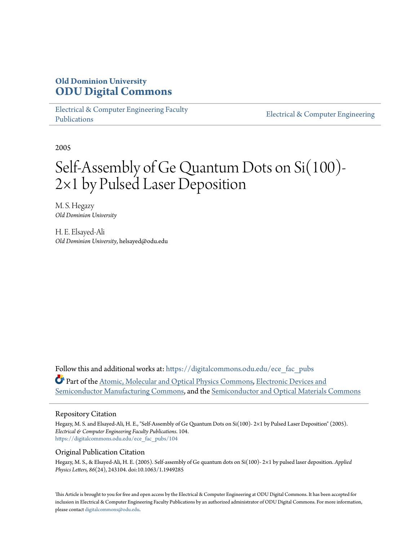## **Old Dominion University [ODU Digital Commons](https://digitalcommons.odu.edu?utm_source=digitalcommons.odu.edu%2Fece_fac_pubs%2F104&utm_medium=PDF&utm_campaign=PDFCoverPages)**

[Electrical & Computer Engineering Faculty](https://digitalcommons.odu.edu/ece_fac_pubs?utm_source=digitalcommons.odu.edu%2Fece_fac_pubs%2F104&utm_medium=PDF&utm_campaign=PDFCoverPages) [Publications](https://digitalcommons.odu.edu/ece_fac_pubs?utm_source=digitalcommons.odu.edu%2Fece_fac_pubs%2F104&utm_medium=PDF&utm_campaign=PDFCoverPages)

[Electrical & Computer Engineering](https://digitalcommons.odu.edu/ece?utm_source=digitalcommons.odu.edu%2Fece_fac_pubs%2F104&utm_medium=PDF&utm_campaign=PDFCoverPages)

2005

# Self-Assembly of Ge Quantum Dots on Si(100)- 2×1 by Pulsed Laser Deposition

M. S. Hegazy *Old Dominion University*

H. E. Elsayed-Ali *Old Dominion University*, helsayed@odu.edu

Follow this and additional works at: [https://digitalcommons.odu.edu/ece\\_fac\\_pubs](https://digitalcommons.odu.edu/ece_fac_pubs?utm_source=digitalcommons.odu.edu%2Fece_fac_pubs%2F104&utm_medium=PDF&utm_campaign=PDFCoverPages) Part of the [Atomic, Molecular and Optical Physics Commons,](http://network.bepress.com/hgg/discipline/195?utm_source=digitalcommons.odu.edu%2Fece_fac_pubs%2F104&utm_medium=PDF&utm_campaign=PDFCoverPages) [Electronic Devices and](http://network.bepress.com/hgg/discipline/272?utm_source=digitalcommons.odu.edu%2Fece_fac_pubs%2F104&utm_medium=PDF&utm_campaign=PDFCoverPages) [Semiconductor Manufacturing Commons](http://network.bepress.com/hgg/discipline/272?utm_source=digitalcommons.odu.edu%2Fece_fac_pubs%2F104&utm_medium=PDF&utm_campaign=PDFCoverPages), and the [Semiconductor and Optical Materials Commons](http://network.bepress.com/hgg/discipline/290?utm_source=digitalcommons.odu.edu%2Fece_fac_pubs%2F104&utm_medium=PDF&utm_campaign=PDFCoverPages)

#### Repository Citation

Hegazy, M. S. and Elsayed-Ali, H. E., "Self-Assembly of Ge Quantum Dots on Si(100)- 2×1 by Pulsed Laser Deposition" (2005). *Electrical & Computer Engineering Faculty Publications*. 104. [https://digitalcommons.odu.edu/ece\\_fac\\_pubs/104](https://digitalcommons.odu.edu/ece_fac_pubs/104?utm_source=digitalcommons.odu.edu%2Fece_fac_pubs%2F104&utm_medium=PDF&utm_campaign=PDFCoverPages)

#### Original Publication Citation

Hegazy, M. S., & Elsayed-Ali, H. E. (2005). Self-assembly of Ge quantum dots on Si(100)- 2×1 by pulsed laser deposition. *Applied Physics Letters, 86*(24), 243104. doi:10.1063/1.1949285

This Article is brought to you for free and open access by the Electrical & Computer Engineering at ODU Digital Commons. It has been accepted for inclusion in Electrical & Computer Engineering Faculty Publications by an authorized administrator of ODU Digital Commons. For more information, please contact [digitalcommons@odu.edu](mailto:digitalcommons@odu.edu).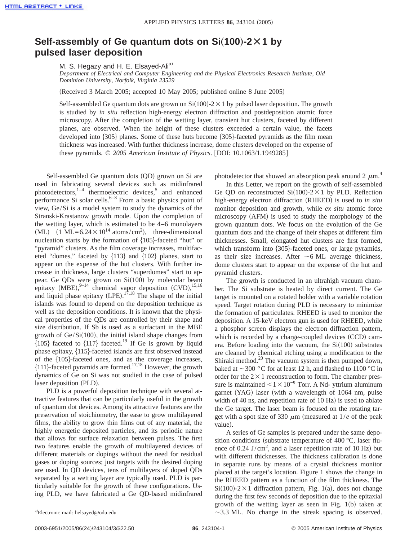### **Self-assembly of Ge quantum dots on Si**"**100**…**-2Ã1 by pulsed laser deposition**

M. S. Hegazy and H. E. Elsayed-Ali<sup>a)</sup>

*Department of Electrical and Computer Engineering and the Physical Electronics Research Institute, Old Dominion University, Norfolk, Virginia 23529*

(Received 3 March 2005; accepted 10 May 2005; published online 8 June 2005)

Self-assembled Ge quantum dots are grown on  $Si(100)-2\times1$  by pulsed laser deposition. The growth is studied by *in situ* reflection high-energy electron diffraction and postdeposition atomic force microscopy. After the completion of the wetting layer, transient hut clusters, faceted by different planes, are observed. When the height of these clusters exceeded a certain value, the facets developed into  $\{305\}$  planes. Some of these huts become  $\{305\}$ -faceted pyramids as the film mean thickness was increased. With further thickness increase, dome clusters developed on the expense of these pyramids. © 2005 American Institute of Physics. [DOI: 10.1063/1.1949285]

Self-assembled Ge quantum dots (QD) grown on Si are used in fabricating several devices such as midinfrared photodetectors, $1-4$  thermoelectric devices,<sup>5</sup> and enhanced performance Si solar cells. $6-8$  From a basic physics point of view, Ge/Si is a model system to study the dynamics of the Stranski-Krastanow growth mode. Upon the completion of the wetting layer, which is estimated to be 4–6 monolayers (ML)  $(1 \text{ ML} = 6.24 \times 10^{14} \text{ atoms/cm}^2)$ , three-dimensional nucleation starts by the formation of  ${105}$ -faceted "hut" or "pyramid" clusters. As the film coverage increases, multifaceted "domes," faceted by  $\{113\}$  and  $\{102\}$  planes, start to appear on the expense of the hut clusters. With further increase in thickness, large clusters "superdomes" start to appear. Ge QDs were grown on  $Si(100)$  by molecular beam epitaxy (MBE), $^{9-14}$  chemical vapor deposition (CVD), $^{15,16}$ and liquid phase epitaxy  $(LPE)$ .<sup>17,18</sup> The shape of the initial islands was found to depend on the deposition technique as well as the deposition conditions. It is known that the physical properties of the QDs are controlled by their shape and size distribution. If Sb is used as a surfactant in the MBE growth of  $Ge/Si(100)$ , the initial island shape changes from  ${105}$  faceted to  ${117}$  faceted.<sup>19</sup> If Ge is grown by liquid phase epitaxy,  $\{115\}$ -faceted islands are first observed instead of the  ${105}$ -faceted ones, and as the coverage increases,  ${111}$ -faceted pyramids are formed.<sup>17,18</sup> However, the growth dynamics of Ge on Si was not studied in the case of pulsed laser deposition (PLD).

PLD is a powerful deposition technique with several attractive features that can be particularly useful in the growth of quantum dot devices. Among its attractive features are the preservation of stoichiometry, the ease to grow multilayered films, the ability to grow thin films out of any material, the highly energetic deposited particles, and its periodic nature that allows for surface relaxation between pulses. The first two features enable the growth of multilayered devices of different materials or dopings without the need for residual gases or doping sources; just targets with the desired doping are used. In QD devices, tens of multilayers of doped QDs separated by a wetting layer are typically used. PLD is particularly suitable for the growth of these configurations. Using PLD, we have fabricated a Ge QD-based midinfrared photodetector that showed an absorption peak around 2  $\mu$ m.<sup>4</sup>

In this Letter, we report on the growth of self-assembled Ge QD on reconstructed  $Si(100)-2\times1$  by PLD. Reflection high-energy electron diffraction (RHEED) is used to *in situ* monitor deposition and growth, while *ex situ* atomic force microscopy  $(AFM)$  is used to study the morphology of the grown quantum dots. We focus on the evolution of the Ge quantum dots and the change of their shapes at different film thicknesses. Small, elongated hut clusters are first formed, which transform into  $\{305\}$ -faceted ones, or large pyramids, as their size increases. After  $\sim$  6 ML average thickness, dome clusters start to appear on the expense of the hut and pyramid clusters.

The growth is conducted in an ultrahigh vacuum chamber. The Si substrate is heated by direct current. The Ge target is mounted on a rotated holder with a variable rotation speed. Target rotation during PLD is necessary to minimize the formation of particulates. RHEED is used to monitor the deposition. A 15-keV electron gun is used for RHEED, while a phosphor screen displays the electron diffraction pattern, which is recorded by a charge-coupled devices  $(CCD)$  camera. Before loading into the vacuum, the  $Si(100)$  substrates are cleaned by chemical etching using a modification to the Shiraki method.<sup>20</sup> The vacuum system is then pumped down, baked at  $\sim$ 300 °C for at least 12 h, and flashed to 1100 °C in order for the  $2\times1$  reconstruction to form. The chamber pressure is maintained  $\langle 1 \times 10^{-9}$  Torr. A Nd- yttrium aluminum garnet (YAG) laser (with a wavelength of 1064 nm, pulse width of 40 ns, and repetition rate of  $10$  Hz) is used to ablate the Ge target. The laser beam is focused on the rotating target with a spot size of 330  $\mu$ m (measured at  $1/e$  of the peak value).

A series of Ge samples is prepared under the same deposition conditions (substrate temperature of 400  $^{\circ}$ C, laser fluence of  $0.24$  J/cm<sup>2</sup>, and a laser repetition rate of 10 Hz) but with different thicknesses. The thickness calibration is done in separate runs by means of a crystal thickness monitor placed at the target's location. Figure 1 shows the change in the RHEED pattern as a function of the film thickness. The  $Si(100) - 2 \times 1$  diffraction pattern, Fig. 1(a), does not change during the first few seconds of deposition due to the epitaxial growth of the wetting layer as seen in Fig.  $1(b)$  taken at  $\sim$ 3.3 ML. No change in the streak spacing is observed.

0003-6951/2005/86(24)/243104/3/\$22.50 **86**, 243104-1 © 2005 American Institute of Physics

a)Electronic mail: helsayed@odu.edu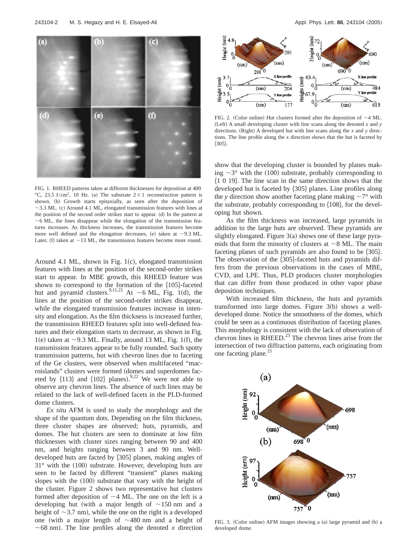

FIG. 1. RHEED patterns taken at different thicknesses for deposition at 400 °C, 23.5 J/cm<sup>2</sup>, 10 Hz. (a) The substrate  $2\times1$  reconstruction pattern is shown. (b) Growth starts epitaxially, as seen after the deposition of  $\sim$ 3.3 ML. (c) Around 4.1 ML, elongated transmission features with lines at the position of the second order strikes start to appear. (d) In the pattern at  $\sim$  6 ML, the lines disappear while the elongation of the transmission features increases. As thickness increases, the transmission features become more well defined and the elongation decreases, (e) taken at  $\sim$ 9.3 ML. Later, (f) taken at  $\sim$ 13 ML, the transmission features become more round.

Around 4.1 ML, shown in Fig.  $1(c)$ , elongated transmission features with lines at the position of the second-order strikes start to appear. In MBE growth, this RHEED feature was shown to correspond to the formation of the  ${105}$ -faceted hut and pyramid clusters.<sup>9,11,21</sup> At  $\sim$  6 ML, Fig. 1(d), the lines at the position of the second-order strikes disappear, while the elongated transmission features increase in intensity and elongation. As the film thickness is increased further, the transmission RHEED features split into well-defined features and their elongation starts to decrease, as shown in Fig. 1(e) taken at  $\sim$ 9.3 ML. Finally, around 13 ML, Fig. 1(f), the transmission features appear to be fully rounded. Such spotty transmission patterns, but with chevron lines due to faceting of the Ge clusters, were observed when multifaceted "macroislands" clusters were formed (domes and superdomes faceted by  $\{113\}$  and  $\{102\}$  planes).<sup>9,22</sup> We were not able to observe any chevron lines. The absence of such lines may be related to the lack of well-defined facets in the PLD-formed dome clusters.

*Ex situ* AFM is used to study the morphology and the shape of the quantum dots. Depending on the film thickness, three cluster shapes are observed; huts, pyramids, and domes. The hut clusters are seen to dominate at low film thicknesses with cluster sizes ranging between 90 and 400 nm, and heights ranging between 3 and 90 nm. Welldeveloped huts are facted by  $\{305\}$  planes, making angles of  $31^\circ$  with the (100) substrate. However, developing huts are seen to be facted by different "transient" planes making slopes with the  $(100)$  substrate that vary with the height of the cluster. Figure 2 shows two representative hut clusters formed after deposition of  $\sim$ 4 ML. The one on the left is a developing hut (with a major length of  $\sim$ 150 nm and a height of  $\sim$ 3.7 nm), while the one on the right is a developed one (with a major length of  $\sim$ 480 nm and a height of  $\sim$  68 nm). The line profiles along the denoted *x* direction



FIG. 2. (Color online) Hut clusters formed after the deposition of  $\sim$ 4 ML. (Left) A small developing cluster with line scans along the denoted  $x$  and  $y$ directions. (Right) A developed hut with line scans along the  $x$  and  $y$  directions. The line profile along the *x* direction shows that the hut is faceted by  ${305}.$ 

show that the developing cluster is bounded by planes making  $\sim$ 3° with the (100) substrate, probably corresponding to  $\{1\ 0\ 19\}$ . The line scan in the same direction shows that the developed hut is faceted by  $\{305\}$  planes. Line profiles along the *y* direction show another faceting plane making  $\sim 7^{\circ}$  with the substrate, probably corresponding to  $\{108\}$ , for the developing hut shown.

As the film thickness was increased, large pyramids in addition to the large huts are observed. These pyramids are slightly elongated. Figure  $3(a)$  shows one of these large pyramids that form the minority of clusters at  $\sim$  8 ML. The main faceting planes of such pyramids are also found to be  $\{305\}$ . The observation of the  $\{305\}$ -faceted huts and pyramids differs from the previous observations in the cases of MBE, CVD, and LPE. Thus, PLD produces cluster morphologies that can differ from those produced in other vapor phase deposition techniques.

With increased film thickness, the huts and pyramids transformed into large domes. Figure  $3(b)$  shows a welldeveloped dome. Notice the smoothness of the domes, which could be seen as a continuous distribution of faceting planes. This morphology is consistent with the lack of observation of chevron lines in  $RHEED.<sup>23</sup>$  The chevron lines arise from the intersection of two diffraction patterns, each originating from one faceting plane.<sup>21</sup>



FIG. 3. (Color online) AFM images showing a (a) large pyramid and (b) a developed dome.